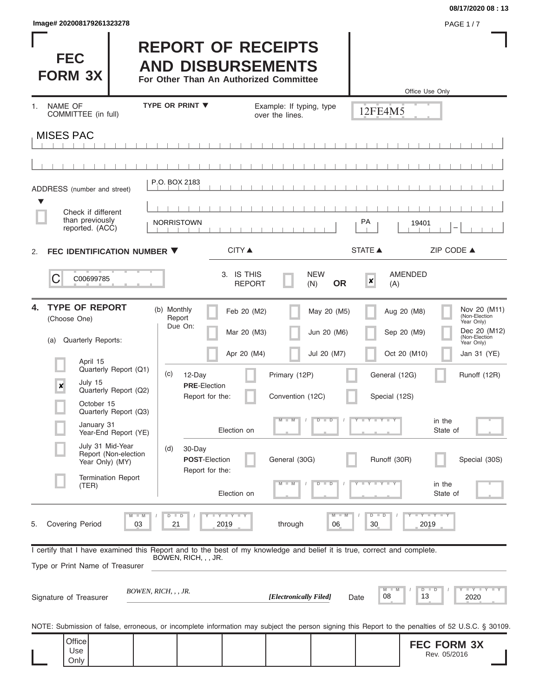| Image# 202008179261323278 | <b>PAGE 1/7</b> |
|---------------------------|-----------------|
|---------------------------|-----------------|

Г

#### **08/17/2020 08 : 13**

| <b>FEC</b><br><b>FORM 3X</b>                                                                                                                               |                                               |                                  | <b>REPORT OF RECEIPTS</b><br><b>AND DISBURSEMENTS</b><br>For Other Than An Authorized Committee |                                             |                                |                                | Office Use Only                    |                                                                                            |
|------------------------------------------------------------------------------------------------------------------------------------------------------------|-----------------------------------------------|----------------------------------|-------------------------------------------------------------------------------------------------|---------------------------------------------|--------------------------------|--------------------------------|------------------------------------|--------------------------------------------------------------------------------------------|
| NAME OF<br>1.<br>COMMITTEE (in full)                                                                                                                       |                                               | <b>TYPE OR PRINT ▼</b>           |                                                                                                 | Example: If typing, type<br>over the lines. |                                | 12FE4M5                        |                                    |                                                                                            |
| <b>MISES PAC</b>                                                                                                                                           |                                               |                                  |                                                                                                 |                                             |                                |                                |                                    |                                                                                            |
|                                                                                                                                                            |                                               |                                  |                                                                                                 |                                             |                                |                                |                                    |                                                                                            |
| ADDRESS (number and street)                                                                                                                                |                                               | P.O. BOX 2183                    |                                                                                                 |                                             |                                |                                |                                    |                                                                                            |
| ▼<br>Check if different<br>than previously<br>reported. (ACC)                                                                                              |                                               | <b>NORRISTOWN</b>                |                                                                                                 |                                             |                                | PA                             | 19401                              |                                                                                            |
| FEC IDENTIFICATION NUMBER ▼<br>2.                                                                                                                          |                                               |                                  | <b>CITY ▲</b>                                                                                   |                                             |                                | <b>STATE ▲</b>                 | ZIP CODE $\triangle$               |                                                                                            |
| C<br>C00699785                                                                                                                                             |                                               |                                  | 3. IS THIS<br><b>REPORT</b>                                                                     |                                             | <b>NEW</b><br><b>OR</b><br>(N) | X<br>(A)                       | <b>AMENDED</b>                     |                                                                                            |
| <b>TYPE OF REPORT</b><br>4.<br>(Choose One)<br><b>Quarterly Reports:</b><br>(a)                                                                            |                                               | (b) Monthly<br>Report<br>Due On: | Feb 20 (M2)<br>Mar 20 (M3)                                                                      |                                             | May 20 (M5)<br>Jun 20 (M6)     |                                | Aug 20 (M8)<br>Sep 20 (M9)         | Nov 20 (M11)<br>(Non-Election<br>Year Only)<br>Dec 20 (M12)<br>(Non-Election<br>Year Only) |
| April 15                                                                                                                                                   | Quarterly Report (Q1)                         |                                  | Apr 20 (M4)                                                                                     |                                             | Jul 20 (M7)                    |                                | Oct 20 (M10)                       | Jan 31 (YE)                                                                                |
| July 15<br>$\pmb{\times}$<br>October 15                                                                                                                    | Quarterly Report (Q2)                         | (c)<br>12-Day                    | <b>PRE-Election</b><br>Report for the:                                                          | Primary (12P)<br>Convention (12C)           |                                | General (12G)<br>Special (12S) |                                    | Runoff (12R)                                                                               |
| January 31                                                                                                                                                 | Quarterly Report (Q3)<br>Year-End Report (YE) |                                  | Election on                                                                                     | $M - M$                                     | $D$ $D$                        | Y I Y I Y I Y                  | in the<br>State of                 |                                                                                            |
| July 31 Mid-Year<br>Year Only) (MY)                                                                                                                        | Report (Non-election                          | 30-Day<br>(d)                    | <b>POST-Election</b><br>Report for the:                                                         | General (30G)                               |                                | Runoff (30R)                   |                                    | Special (30S)                                                                              |
| (TER)                                                                                                                                                      | <b>Termination Report</b>                     |                                  | Election on                                                                                     | $M - M$                                     | $D$ $D$                        | $Y = Y = Y + Y + Y$            | in the<br>State of                 |                                                                                            |
| <b>Covering Period</b><br>5.                                                                                                                               | $M$ $M$<br>03                                 | $D$ $D$<br>21                    | $T - Y$ $T - Y$ $T - Y$<br>2019                                                                 | through                                     | $M - M$<br>06                  | $D$ $D$<br>30                  | Y FYLY TY<br>2019                  |                                                                                            |
| I certify that I have examined this Report and to the best of my knowledge and belief it is true, correct and complete.<br>Type or Print Name of Treasurer |                                               | BOWEN, RICH, , , JR.             |                                                                                                 |                                             |                                |                                |                                    |                                                                                            |
| Signature of Treasurer                                                                                                                                     |                                               | BOWEN, RICH, , , JR.             |                                                                                                 | [Electronically Filed]                      |                                | $M$ M<br>08<br>Date            | $D$ $D$<br>13                      | Y LY LY LY<br>2020                                                                         |
| NOTE: Submission of false, erroneous, or incomplete information may subject the person signing this Report to the penalties of 52 U.S.C. § 30109.          |                                               |                                  |                                                                                                 |                                             |                                |                                |                                    |                                                                                            |
| Office<br>Use<br>Only                                                                                                                                      |                                               |                                  |                                                                                                 |                                             |                                |                                | <b>FEC FORM 3X</b><br>Rev. 05/2016 |                                                                                            |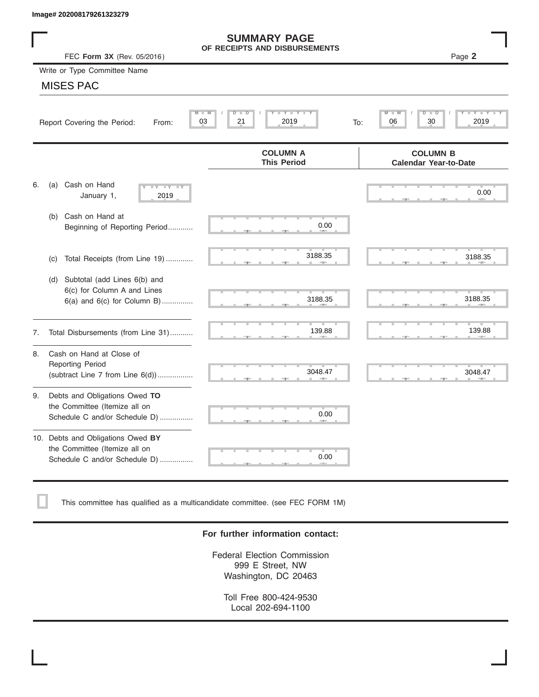|    | Image# 202008179261323279                                                                           |                                                      |                                                              |
|----|-----------------------------------------------------------------------------------------------------|------------------------------------------------------|--------------------------------------------------------------|
|    | FEC Form 3X (Rev. 05/2016)                                                                          | <b>SUMMARY PAGE</b><br>OF RECEIPTS AND DISBURSEMENTS | Page 2                                                       |
|    | Write or Type Committee Name                                                                        |                                                      |                                                              |
|    | <b>MISES PAC</b>                                                                                    |                                                      |                                                              |
|    | Report Covering the Period:<br>From:                                                                | Y I Y I<br>$M - M$<br>D<br>D<br>03<br>21<br>2019     | $\overline{\mathsf{M}}$<br>D<br>D<br>30<br>2019<br>06<br>To: |
|    |                                                                                                     | <b>COLUMN A</b><br><b>This Period</b>                | <b>COLUMN B</b><br><b>Calendar Year-to-Date</b>              |
| 6. | Cash on Hand<br>(a)<br>$-Y - Y - Y$<br>January 1,<br>2019                                           |                                                      | 0.00                                                         |
|    | Cash on Hand at<br>(b)<br>Beginning of Reporting Period                                             | 0.00                                                 |                                                              |
|    | Total Receipts (from Line 19)<br>(c)                                                                | 3188.35                                              | 3188.35                                                      |
|    | Subtotal (add Lines 6(b) and<br>(d)<br>6(c) for Column A and Lines<br>6(a) and 6(c) for Column B)   | 3188.35                                              | 3188.35                                                      |
| 7. | Total Disbursements (from Line 31)                                                                  | 139.88                                               | 139.88                                                       |
| 8. | Cash on Hand at Close of<br><b>Reporting Period</b><br>(subtract Line $7$ from Line $6(d)$ )        | 3048.47                                              | 3048.47                                                      |
| 9. | Debts and Obligations Owed TO<br>the Committee (Itemize all on<br>Schedule C and/or Schedule D)     | 0.00                                                 |                                                              |
|    | 10. Debts and Obligations Owed BY<br>the Committee (Itemize all on<br>Schedule C and/or Schedule D) | т<br>0.00                                            |                                                              |

This committee has qualified as a multicandidate committee. (see FEC FORM 1M)

#### **For further information contact:**

Federal Election Commission 999 E Street, NW Washington, DC 20463

Toll Free 800-424-9530 Local 202-694-1100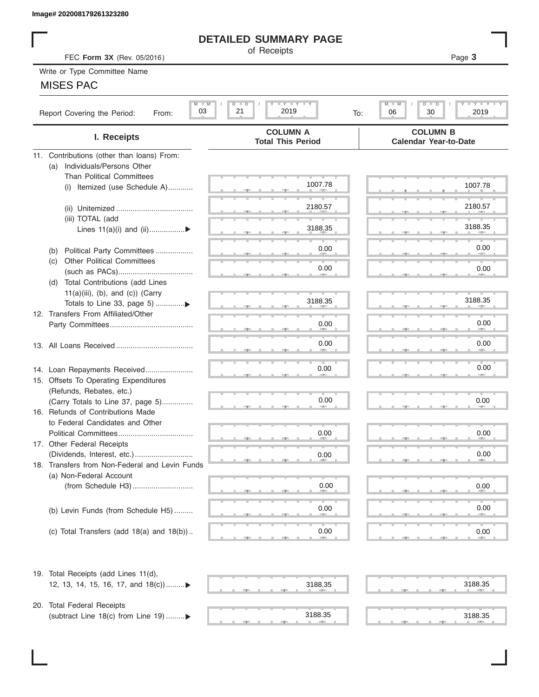## **DETAILED SUMMARY PAGE**

## MISES PAC

| Image# 202008179261323280                                 |                                                  |                                                                   |
|-----------------------------------------------------------|--------------------------------------------------|-------------------------------------------------------------------|
|                                                           | <b>DETAILED SUMMARY PAGE</b>                     |                                                                   |
| FEC Form 3X (Rev. 05/2016)                                | of Receipts                                      | Page 3                                                            |
| Write or Type Committee Name                              |                                                  |                                                                   |
| <b>MISES PAC</b>                                          |                                                  |                                                                   |
| $M \perp M$<br>03<br>Report Covering the Period:<br>From: | <b>LYLYLY</b><br>$D$ $\Box$<br>21<br>2019<br>To: | $-1$ $-1$ $-1$ $-1$ $-1$<br>$M - M$<br>D<br>ъ<br>06<br>30<br>2019 |
| I. Receipts                                               | <b>COLUMN A</b><br><b>Total This Period</b>      | <b>COLUMN B</b><br><b>Calendar Year-to-Date</b>                   |
| 11. Contributions (other than loans) From:                |                                                  |                                                                   |
| Individuals/Persons Other<br>(a)                          |                                                  |                                                                   |
| <b>Than Political Committees</b>                          | 1007.78                                          |                                                                   |
| Itemized (use Schedule A)<br>(i)                          |                                                  | 1007.78                                                           |
|                                                           | 2180.57                                          | 2180.57                                                           |
| (iii) TOTAL (add                                          |                                                  |                                                                   |
| Lines 11(a)(i) and (ii)▶                                  | 3188.35                                          | 3188.35                                                           |
|                                                           |                                                  |                                                                   |
| Political Party Committees<br>(b)                         | 0.00                                             | 0.00                                                              |
| <b>Other Political Committees</b><br>(C)                  |                                                  |                                                                   |
|                                                           | 0.00                                             | 0.00                                                              |
| Total Contributions (add Lines<br>(d)                     |                                                  |                                                                   |
| $11(a)(iii)$ , (b), and (c)) (Carry                       | 3188.35                                          | 3188.35                                                           |
| 12. Transfers From Affiliated/Other                       |                                                  |                                                                   |
|                                                           | 0.00                                             | 0.00                                                              |
|                                                           |                                                  |                                                                   |
|                                                           | 0.00                                             | 0.00                                                              |
|                                                           |                                                  |                                                                   |
| 14. Loan Repayments Received                              | 0.00                                             | 0.00                                                              |
| 15. Offsets To Operating Expenditures                     |                                                  |                                                                   |
| (Refunds, Rebates, etc.)                                  |                                                  |                                                                   |
| (Carry Totals to Line 37, page 5)                         | 0.00                                             | 0.00                                                              |
| 16. Refunds of Contributions Made                         |                                                  |                                                                   |
| to Federal Candidates and Other<br>Political Committees   | 0.00                                             |                                                                   |
| 17. Other Federal Receipts                                |                                                  | 0.00                                                              |
|                                                           | 0.00                                             | 0.00                                                              |
| 18. Transfers from Non-Federal and Levin Funds            |                                                  |                                                                   |
| (a) Non-Federal Account                                   |                                                  |                                                                   |
|                                                           | 0.00                                             | 0.00                                                              |
|                                                           |                                                  |                                                                   |
| (b) Levin Funds (from Schedule H5)                        | 0.00                                             | 0.00                                                              |
|                                                           |                                                  |                                                                   |
| (c) Total Transfers (add $18(a)$ and $18(b)$ )            | 0.00<br>an a                                     | 0.00                                                              |
| 19. Total Receipts (add Lines 11(d),                      |                                                  |                                                                   |
| 12, 13, 14, 15, 16, 17, and 18(c))▶                       | 3188.35                                          | 3188.35                                                           |
|                                                           |                                                  |                                                                   |
| 20. Total Federal Receipts                                |                                                  |                                                                   |
| (subtract Line 18(c) from Line 19) ▶                      | 3188.35<br><b>ARM</b>                            | 3188.35                                                           |
|                                                           |                                                  |                                                                   |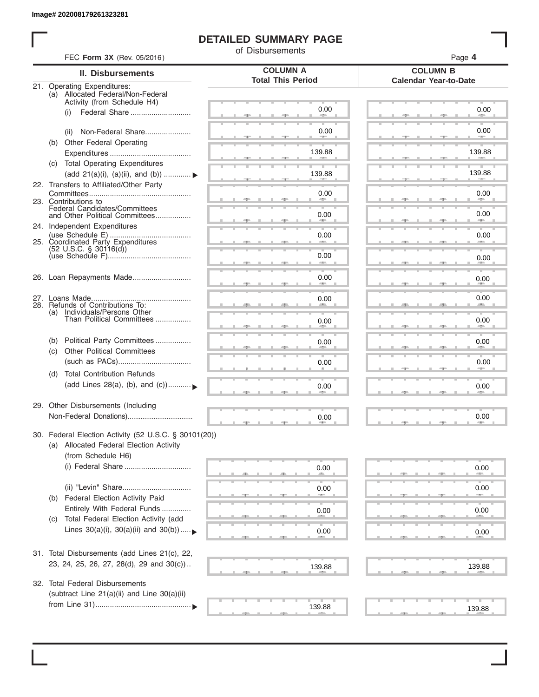I

# **DETAILED SUMMARY PAGE**

of Disbursements

|            | FEC Form 3X (Rev. 05/2016)                                                                      |                                             | Page 4                                          |
|------------|-------------------------------------------------------------------------------------------------|---------------------------------------------|-------------------------------------------------|
|            | <b>II. Disbursements</b>                                                                        | <b>COLUMN A</b><br><b>Total This Period</b> | <b>COLUMN B</b><br><b>Calendar Year-to-Date</b> |
|            | 21. Operating Expenditures:<br>(a) Allocated Federal/Non-Federal<br>Activity (from Schedule H4) |                                             |                                                 |
|            | Federal Share<br>(i)                                                                            | 0.00                                        | 0.00                                            |
| (b)        | Non-Federal Share<br>(ii)<br><b>Other Federal Operating</b>                                     | 0.00                                        | 0.00                                            |
|            |                                                                                                 | 139.88                                      | 139.88                                          |
|            | (c) Total Operating Expenditures<br>(add 21(a)(i), (a)(ii), and (b))                            | 139.88                                      | 139.88                                          |
|            | 22. Transfers to Affiliated/Other Party                                                         | 0.00                                        | 0.00                                            |
|            | 23. Contributions to<br>Federal Candidates/Committees<br>and Other Political Committees         | 0.00                                        | 0.00                                            |
|            | 24. Independent Expenditures                                                                    |                                             |                                                 |
|            | 25. Coordinated Party Expenditures                                                              | 0.00                                        | 0.00                                            |
|            | $(52 \text{ U.S.C. }$ § 30116(d))                                                               | 0.00<br>an a                                | 0.00                                            |
|            | 26. Loan Repayments Made                                                                        | 0.00                                        | 0.00                                            |
|            | 28. Refunds of Contributions To:                                                                | 0.00                                        | 0.00                                            |
|            | (a) Individuals/Persons Other<br>Than Political Committees                                      | 0.00                                        | 0.00                                            |
| (b)<br>(C) | Political Party Committees<br><b>Other Political Committees</b>                                 | 0.00                                        | 0.00                                            |
|            |                                                                                                 | 0.00                                        | 0.00                                            |
| (d)        | <b>Total Contribution Refunds</b><br>(add Lines 28(a), (b), and (c))                            | 0.00                                        | 0.00                                            |
|            | 29. Other Disbursements (Including                                                              | 0.00                                        | 0.00                                            |
|            | 30. Federal Election Activity (52 U.S.C. § 30101(20))                                           |                                             |                                                 |
|            | (a) Allocated Federal Election Activity<br>(from Schedule H6)                                   |                                             |                                                 |
|            | (i) Federal Share                                                                               | 0.00                                        | 0.00                                            |
| (b)        | Federal Election Activity Paid                                                                  | 0.00                                        | 0.00                                            |
|            | Entirely With Federal Funds                                                                     | 0.00                                        | 0.00                                            |
| (C)        | Total Federal Election Activity (add<br>Lines $30(a)(i)$ , $30(a)(ii)$ and $30(b))$             | 0.00                                        | 0.00                                            |
|            | 31. Total Disbursements (add Lines 21(c), 22,                                                   |                                             |                                                 |
|            | 23, 24, 25, 26, 27, 28(d), 29 and 30(c))                                                        | 139.88                                      | 139.88                                          |
|            | 32. Total Federal Disbursements<br>(subtract Line $21(a)(ii)$ and Line $30(a)(ii)$              |                                             |                                                 |
|            |                                                                                                 | 139.88                                      | 139.88                                          |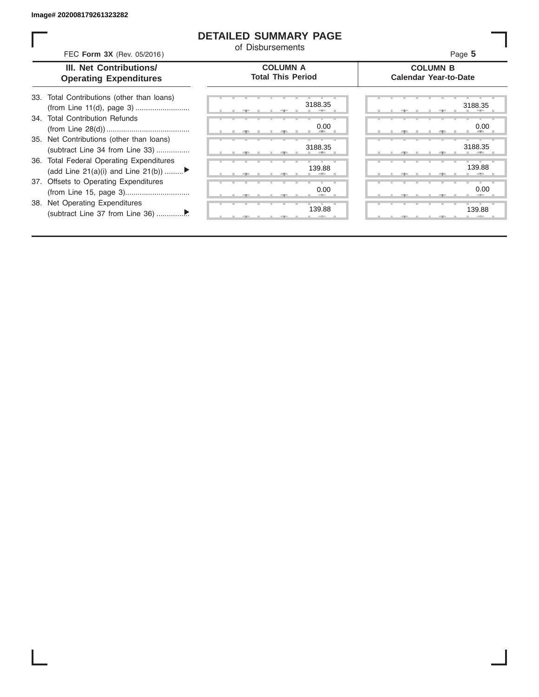ı

## **DETAILED SUMMARY PAGE**

of Disbursements

| FEC Form 3X (Rev. 05/2016)                                                     | u Disnaiscilicitus                          | Page 5                                          |
|--------------------------------------------------------------------------------|---------------------------------------------|-------------------------------------------------|
| III. Net Contributions/<br><b>Operating Expenditures</b>                       | <b>COLUMN A</b><br><b>Total This Period</b> | <b>COLUMN B</b><br><b>Calendar Year-to-Date</b> |
| 33. Total Contributions (other than loans)                                     | 3188.35                                     | 3188.35                                         |
| 34. Total Contribution Refunds                                                 | 0.00                                        | 0.00                                            |
| 35. Net Contributions (other than loans)<br>(subtract Line 34 from Line 33)    | 3188.35                                     | 3188.35                                         |
| 36. Total Federal Operating Expenditures<br>(add Line 21(a)(i) and Line 21(b)) | 139.88                                      | 139.88                                          |
| 37. Offsets to Operating Expenditures                                          | 0.00                                        | 0.00                                            |
| 38. Net Operating Expenditures                                                 | 139.88                                      | 139.88                                          |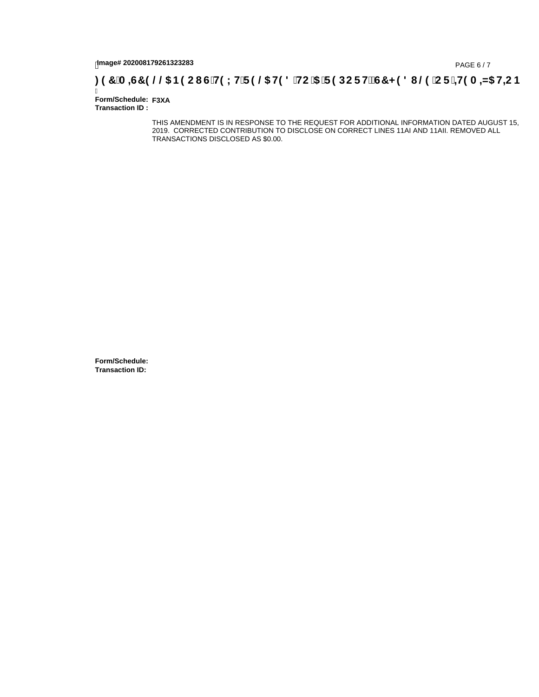# tmage# 202008179261323283<br>DAGE 6/7 (PAGE 6/7<br>**DAGE 149 A = 45 H=C B** (16 G H9 L H F 9 @ H9 8 HC '5 F 9 DC F Hz G7 < 9 8 I @ 'C F ' <del>11</del>9 A = 45 H=C B

Ī **Form/Schedule: F3XA Transaction ID :** 

> THIS AMENDMENT IS IN RESPONSE TO THE REQUEST FOR ADDITIONAL INFORMATION DATED AUGUST 15, 2019. CORRECTED CONTRIBUTION TO DISCLOSE ON CORRECT LINES 11AI AND 11AII. REMOVED ALL TRANSACTIONS DISCLOSED AS \$0.00.

**Form/Schedule: Transaction ID:**